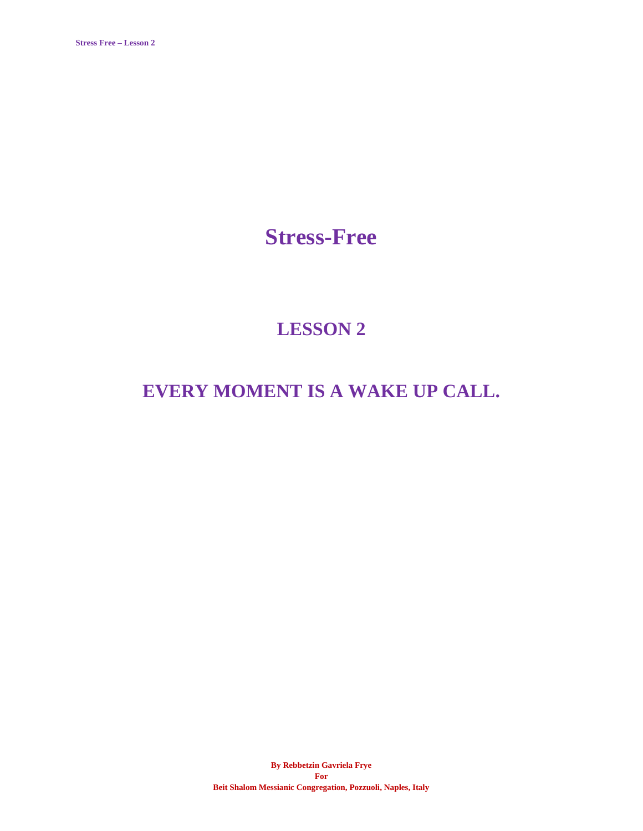**Stress-Free**

# **LESSON 2**

## **EVERY MOMENT IS A WAKE UP CALL.**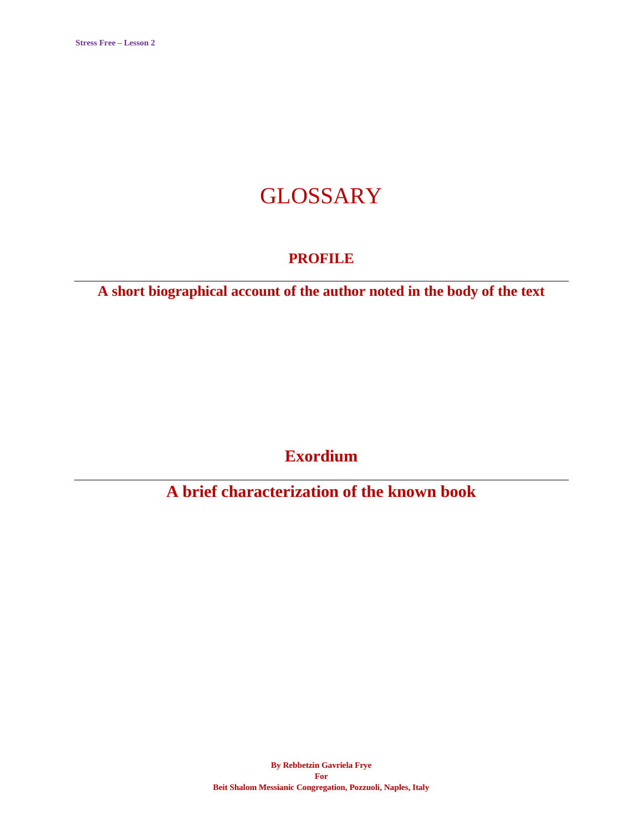# GLOSSARY

### **PROFILE**

**A short biographical account of the author noted in the body of the text**

**Exordium**

**A brief characterization of the known book**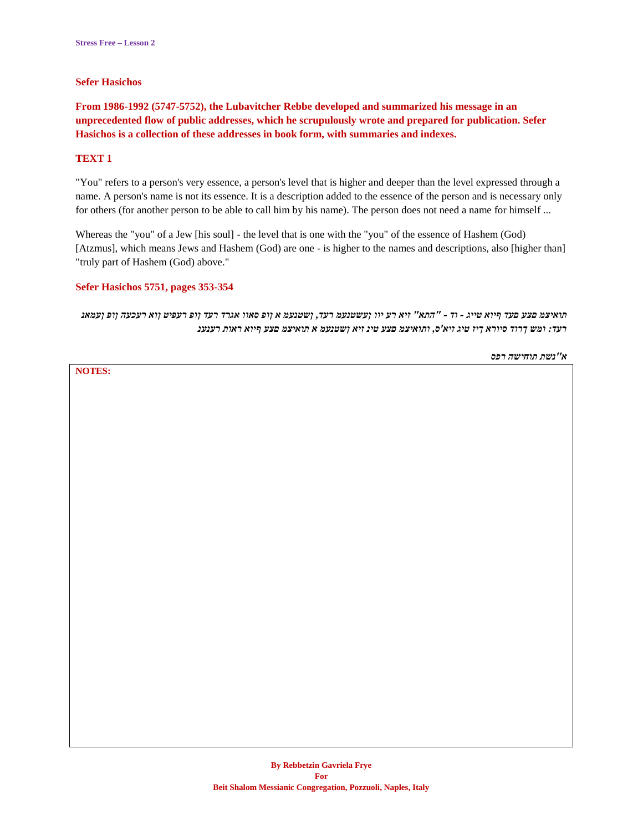#### **Sefer Hasichos**

**From 1986-1992 (5747-5752), the Lubavitcher Rebbe developed and summarized his message in an unprecedented flow of public addresses, which he scrupulously wrote and prepared for publication. Sefer Hasichos is a collection of these addresses in book form, with summaries and indexes.**

#### **TEXT 1**

"You" refers to a person's very essence, a person's level that is higher and deeper than the level expressed through a name. A person's name is not its essence. It is a description added to the essence of the person and is necessary only for others (for another person to be able to call him by his name). The person does not need a name for himself ...

Whereas the "you" of a Jew [his soul] - the level that is one with the "you" of the essence of Hashem (God) [Atzmus], which means Jews and Hashem (God) are one - is higher to the names and descriptions, also [higher than] "truly part of Hashem (God) above."

#### **Sefer Hasichos 5751, pages 353-354**

*תואיצמ םצע םעד ףיוא טייג - וד - "התא" זיא רע יוו ןעשטנעמ רעד, ןשטנעמ א ןופ סאוו אגרד רעד ןופ רעפיט ןוא רעכעה ןופ ןעמאנ רעד: ומש ךרוד סיורא ךיז טיג זיא'ס, ותואיצמ םצע טינ זיא ןשטנעמ א תואיצמ םצע ףיוא ראות רענענ*

*א''נשת תוחישה רפס*

**NOTES:**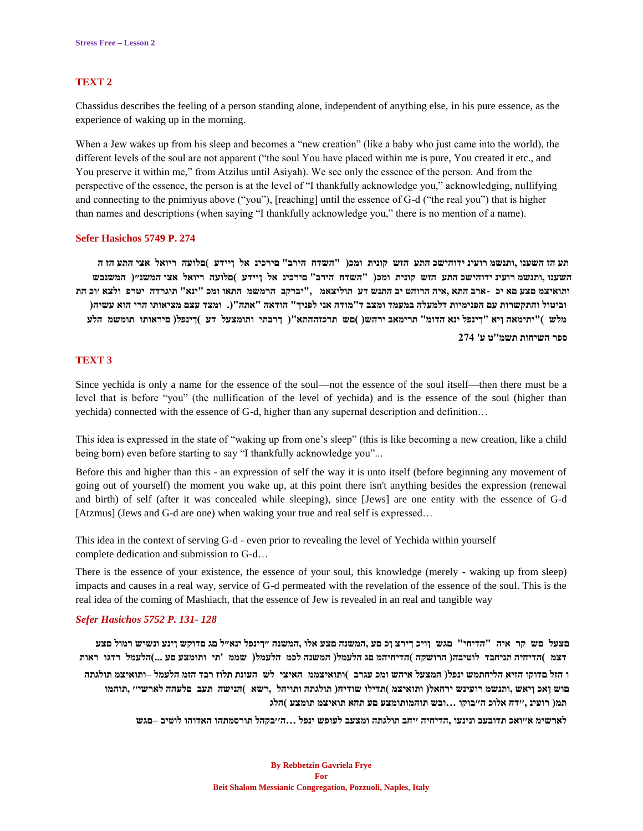#### **TEXT 2**

Chassidus describes the feeling of a person standing alone, independent of anything else, in his pure essence, as the experience of waking up in the morning.

When a Jew wakes up from his sleep and becomes a "new creation" (like a baby who just came into the world), the different levels of the soul are not apparent ("the soul You have placed within me is pure, You created it etc., and You preserve it within me," from Atzilus until Asiyah). We see only the essence of the person. And from the perspective of the essence, the person is at the level of "I thankfully acknowledge you," acknowledging, nullifying and connecting to the pnimiyus above ("you"), [reaching] until the essence of G-d ("the real you") that is higher than names and descriptions (when saying "I thankfully acknowledge you," there is no mention of a name).

#### **Sefer Hasichos 5749 P. 274**

תע הז השענו ,ותנשמ רועינ ידוהישכ התע הזש קונית ומכ( "השדח הירב" םירכינ אל ויידע )םלועה ריואל אצי התע הז ה השענו ,ותנשמ רועינ ידוהישכ התע הזש קונית ומכ( "השדח הירב" םירכינ אל ןיידע )םלועה ריואל אצי המשנ״( המשנבש ותואיצמ םצע םא יכ -ארב התא ,איה הרוהט יב התנש דע תוליצאמ , "יברקב הרמשמ התאו ומכ "ינא" תוגרדה יטרפ ולצא ׳וכ הת וביטול והתקשרות עם הפנימיות דלמעלה במעמד ומצב ד"מודה אני לפניך" הודאה "אתה"(. ומצד עצם מציאותו הרי הוא עשיה( **מלש ("יתימאה ןיא "ךינפל ינא הדומ" תרימאב ירהש) (םש תרכזההתא") ךרבתי ותומצעל דע (ךינפל) םיראותו תומשמ הלע**

**ספר השיחות תשמ''ט ע' 274**

#### **TEXT 3**

Since yechida is only a name for the essence of the soul—not the essence of the soul itself—then there must be a level that is before "you" (the nullification of the level of yechida) and is the essence of the soul (higher than yechida) connected with the essence of G-d, higher than any supernal description and definition…

This idea is expressed in the state of "waking up from one's sleep" (this is like becoming a new creation, like a child being born) even before starting to say "I thankfully acknowledge you"...

Before this and higher than this - an expression of self the way it is unto itself (before beginning any movement of going out of yourself) the moment you wake up, at this point there isn't anything besides the expression (renewal and birth) of self (after it was concealed while sleeping), since [Jews] are one entity with the essence of G-d [Atzmus] (Jews and G-d are one) when waking your true and real self is expressed...

This idea in the context of serving G-d - even prior to revealing the level of Yechida within yourself complete dedication and submission to G-d…

There is the essence of your existence, the essence of your soul, this knowledge (merely - waking up from sleep) impacts and causes in a real way, service of G-d permeated with the revelation of the essence of the soul. This is the real idea of the coming of Mashiach, that the essence of Jew is revealed in an real and tangible way

#### *Sefer Hasichos 5752 P. 131- 128*

םצעל םש קר איה "הדיחי" םגש וויכ דירצ וכםע ,המשנה םצע אלו ,המשנה ״דינפל ינא״ל םג םדוקש וינע ונשיש רמול םצע דצמ )הדיחיה תניחבד לוטיבה( הרושקה )הדיחיהמ םג הלעמל( המשנה לכמ הלעמל( שממ 'תי ותומצע םע ...)הלעמל רדגו ראות

ו הזל םדוקו הזיא הליחתמש ינפל( המצעל איהש ומכ עגרב )ותואיצממ האיצי לש העונת תלוז רבד הזמ הלעמל –ותואיצמ תולגתה מוש ואכ ויאש ,ותנשמ רועינש ירחאל( ותואיצמ )תדילו שודיח( תולגתה ותויהל ,רשא )הנישה תעב פלעהה לארשי״ ,תוהמו **תמ) רועינ ,׳׳דח אלוכ ה׳׳בוקו ...ובש תוהמותומצע םע תחא תואיצמ תומצע (הלג**

**לארשימ א׳׳ואכ תדובעב ונינעו ,הדיחיה ׳יחב תולגתה ומצעב לעופש ינפל ...ה׳׳בקהל תורסמתהו האדוהו לוטיב –םגש**